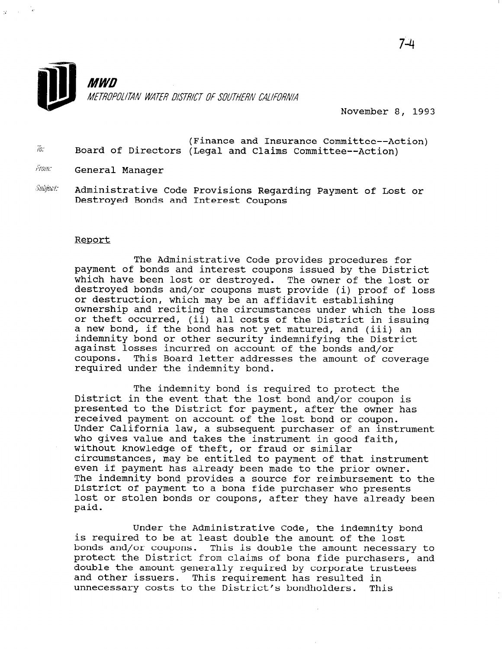

November 8, 1993

- $\bar{w}$ (Finance and Insurance Committee--Action) Board of Directors (Legal and Claims Committee--Action)
- From: General Manager
- $\partial$ ubject: Administrative Code Provisions Regarding Payment of Lost or Destroyed Bonds and Interest Coupons

#### Report

The Administrative Code provides procedures for payment of bonds and interest coupons issued by the District which have been lost or destroyed. The owner of the lost or mitch have been fost of aestroyea. The owner of the fost of or destruction, which may be an affidavit establishing ownership and reciting the circumstances under which the loss or theft occurred, (ii) all costs of the District in issuing of their occurred, (ii) all costs of the bistrict in issu.<br>a new bond, if the bond has not yot matured, and (iii) an a hew bond, it the bond has not yet matured, and (III)<br>indemnity bond or other security indemnifying the Distr indemnity bond or other security indemnifying the District against losses incurred on account of the bonds and/or coupons. This Board letter addresses the amount of coverage required under the indemnity bond.

The indemnity bond is required to protect the District in the event that the lost bond and/or coupon is presented to the District for payment, after the owner has received payment on account of the lost bond or coupon. Under California law, a subsequent purchaser of an instrument who gives value and takes the instrument in good faith, who gives value and takes the filstrument in g without knowledge of their, or fraud or Similiar<br>circumstances, may be entitled to payment of that instrument even if payment has already been made to the prior owner. Even in payment has alleauy been made to the prior owner. Ine Indemnity bond provides a source for reimbursement District of payment to a bona fide purchaser who presents lost or stolen bonds or coupons, after they have already been<br>paid.

Under the Administrative Code, the indemnity bond is required to be administrative code, the indemnity is required to be at least double the amount of the lost bonds and/or coupons. This is double the amount necessary to protect the District from claims of bona fide purchasers, and double the amount generally required by corporate trustees and other issuers. This requirement has resulted in<br>unnecessary costs to the District's bondholders. This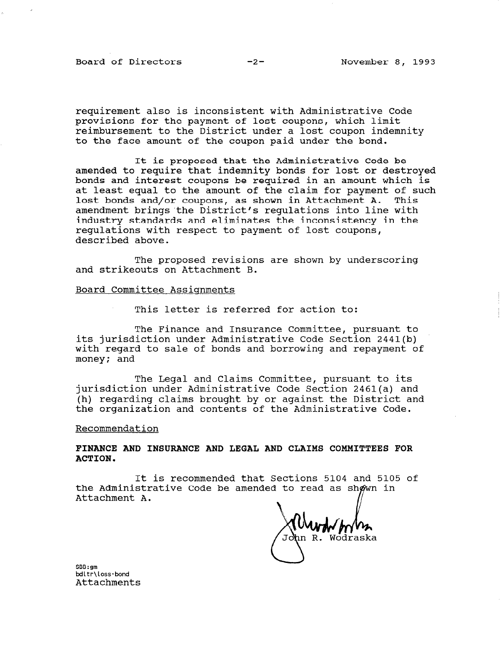Board of Directors -2- November 8, 1993

requirement also is inconsistent with Administrative Code provisions for the payment of lost coupons, which limit reimbursement to the District under a lost coupon indemnity to the face amount of the coupon paid under the bond.

It is proposed that the Administrative Code be amended to require that indemnity bonds for lost or destroyed bonds and interest coupons be required in an amount which is at least equal to the amount of the claim for payment of such lost bonds and/or coupons, as shown in Attachment A. This amendment brings'the District's regulations into line with industry standards and eliminates the inconsistency in the regulations with respect to payment of lost coupons, described above.

The proposed revisions are shown by underscoring and strikeouts on Attachment B.

## Board Committee Assignments

This letter is referred for action to:

The Finance and Insurance Committee, pursuant to its jurisdiction under Administrative Code Section 2441(b) with regard to sale of bonds and borrowing and repayment of money; and

The Legal and Claims Committee, pursuant to its jurisdiction under Administrative Code Section 2461(a) and (h) regarding claims brought by or against the District and the organization and contents of the Administrative Code.

### Recommendation

FINANCE AND INSURANCE AND LEGAL AND CLAIMS COMMITTEES FOR ACTION.

It is recommended that Sections 5104 and 5105 of the Administrative Code be amended to read as sh Attachment A.

nn R. Wodraska

<code>SBB:gm</code> bdltr\loss-bond<br>Attachments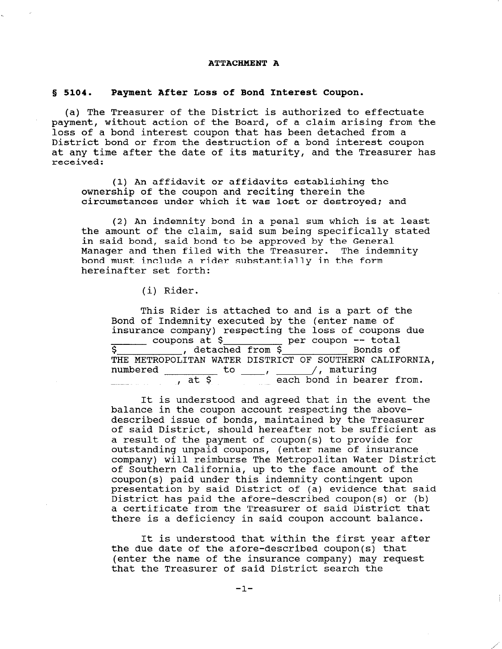### ATTACHMENT A

# 8 5104. Payment After Loss of Bond Interest Coupon.

(a) The Treasurer of the District is authorized to effectuate payment, without action of the Board, of a claim arising from the loss of a bond interest coupon that has been detached from a District bond or from the destruction of a bond interest coupon at any time after the date of its maturity, and the Treasurer has received:

(1) An affidavit or affidavits establishing the ownership of the coupon and reciting therein the circumstances under which it was lost or destroyed; and

(2) An indemnity bond in a penal sum which is at least the amount of the claim, said sum being specifically stated in said bond, said bond to be approved by the General Manager and then filed with the Treasurer. The indemnity bond must include a rider substantially in the form hereinafter set forth:

(i) Rider.

This Rider is attached to and is a part of the Bond of Indemnity executed by the (enter name of insurance company) respecting the loss of coupons due coupons at  $\zeta$  per coupon -- total s between the detached from \$ Bonds of THE METROPOLITAN WATER DISTRICT OF SOUTHERN CALIFORNIA, numbered to , // maturing  $\frac{1}{\pi}$   $\frac{1}{\pi}$ ,  $\frac{1}{\pi}$ ,  $\frac{1}{\pi}$ ,  $\frac{1}{\pi}$  and  $\frac{1}{\pi}$  from.

It is understood and agreed that in the event the balance in the coupon account respecting the abovedescribed issue of bonds, maintained by the Treasurer of said District, should hereafter not be sufficient as a result of the payment of coupon(s) to provide for a result of the payment of coupon(s) to provide it outstanding dipald coupons, (enter name of fisulance company) will reimburse The Metropolitan Water District<br>of Southern California, up to the face amount of the coupon(s) paid under this indemnity contingent upon  $\text{coupon}(s)$  pard under  $\text{cins inequality}$  contingent upon  $D$  is encated by said bistrict of  $(a)$  evidence that said District has paid the afore-described coupon(s) or (b) a certificate from the Treasurer of said District that<br>there is a deficiency in said coupon account balance.

It is understood that within the first year after the due described after the due of the aforethe due date of the afore-described coupon(s) that (enter the name of the insurance company) may request<br>that the Treasurer of said District search the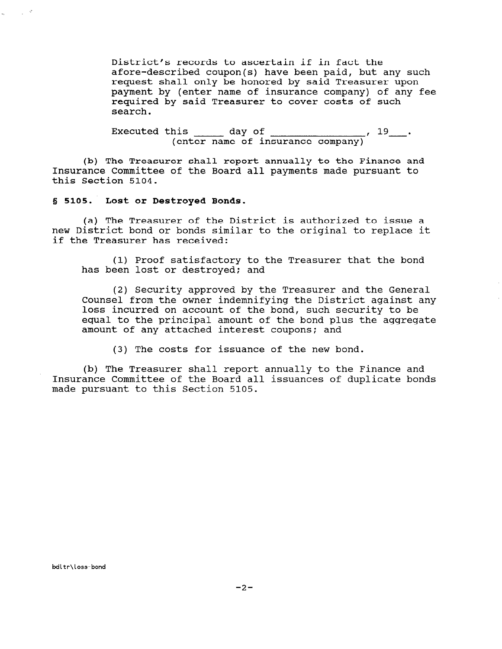District's records to ascertain if in fact the afore-described coupon(s) have been paid, but any such request shall only be honored by said Treasurer upon payment by (enter name of insurance company) of any fee required by said Treasurer to cover costs of such search.

Executed this day of  $\sqrt{19}$  . (enter name of insurance company)

(b) The Treasurer shall report annually to the Finance and Insurance Committee of the Board all payments made pursuant to this Section 5104.

5 5105. Lost or Destroyed Bonds.

 $\alpha_{\rm c} = \frac{1}{\sqrt{2}} \frac{\partial}{\partial \theta}$ 

(a) The Treasurer of the District is authorized to issue a new District bond or bonds similar to the original to replace it if the Treasurer has received:

(1) Proof satisfactory to the Treasurer that the bond has been lost or destroyed; and

(2) Security approved by the Treasurer and the General Counsel from the owner indemnifying the District against any loss incurred on account of the bond, such security to be equal to the principal amount of the bond plus the aggregate amount of any attached interest coupons: and

(3) The costs for issuance of the new bond.

(b) The Treasurer shall report annually to the Finance and Insurance Committee of the Board all issuances of duplicate bonds made pursuant to this Section 5105.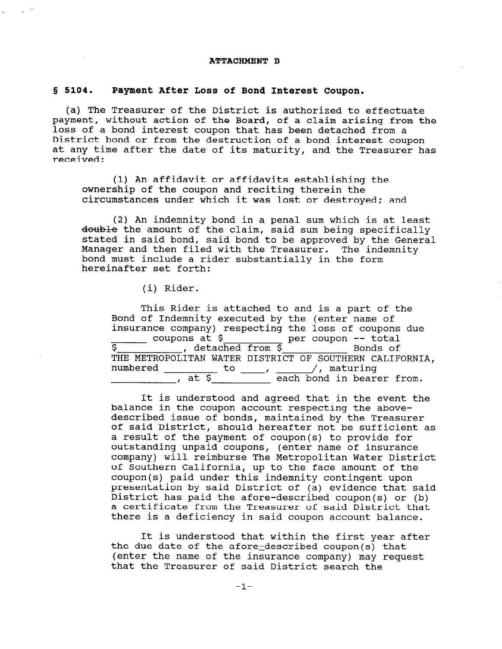#### ATTACHMENT B

### § 5104. Payment After Loss of Bond Interest Coupon.

(a) The Treasurer of the District is authorized to effectuate payment, without action of the Board, of a claim arising from the loss of a bond interest coupon that has been detached from a District bond or from the destruction of a bond interest coupon at any time after the date of its maturity, and the Treasurer has received:

(1) An affidavit or affidavits establishing the ownership of the coupon and reciting therein the circumstances under which it was lost or destroyed; and

(2) An indemnity bond in a penal sum which is at least double the amount of the claim, said sum being specifically stated in said bond, said bond to be approved by the General Manager and then filed with the Treasurer. The indemnity bond must include a rider substantially in the form hereinafter set forth:

(i) Rider.

This Rider is attached to and is a part of the Bond of Indemnity executed by the (enter name of insurance company) respecting the loss of coupons due coupons at \$ per coupon -- total s coupons at vertical per coupon total<br>S Bonds of THE METROPOLITAN WATER DISTRICT OF SOUTHERN CALIFORNIA, numbered to , // maturing  $\frac{1}{\pi}$  co  $\frac{1}{\pi}$ ,  $\frac{1}{\pi}$ , maculing

It is understood and agreed that in the event the It is understood and agreed that in the event described issue of bonds, maintained by the Treasurer described issue of bonds, maintained by the Treasurer<br>of said District, should hereafter not be sufficient as of said biseriet, should hereafter hot be sufficiently and the provide for a result of the payment of coupon(s) to provide for a result of the payment outstanding unpaid coupons, (enter name of insurance<br>company) will reimburse The Metropolitan Water District of Southern California, up to the face amount of the of southern carrierina, up to the race amount of the presentation by said District of (a) evidence that said presentation by said bistrict of (a) evidence that sai<br>District l District has paid the afore-described coupon(s) or (b) a certificate from the Treasurer of said District that<br>there is a deficiency in said coupon account balance.

It is understood that within the first year after  $\mu$  it is understood that within the first year the due date of the afore-described coupon(s) that (enter the name of the insurance company) may request that the Treasurer of said District search the